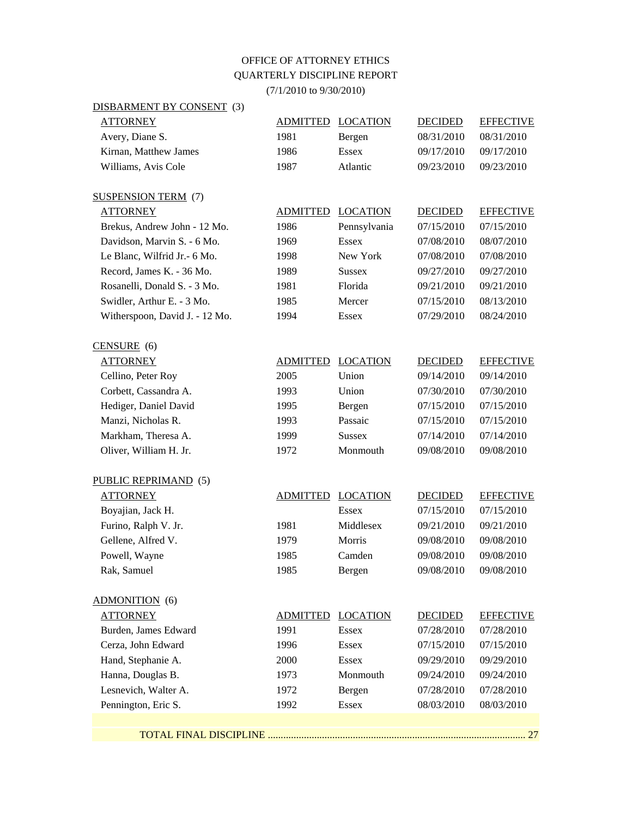## OFFICE OF ATTORNEY ETHICS QUARTERLY DISCIPLINE REPORT (7/1/2010 to 9/30/2010)

| DISBARMENT BY CONSENT (3)      |                 |                 |                |                  |
|--------------------------------|-----------------|-----------------|----------------|------------------|
| <b>ATTORNEY</b>                | <b>ADMITTED</b> | <b>LOCATION</b> | <b>DECIDED</b> | <b>EFFECTIVE</b> |
| Avery, Diane S.                | 1981            | Bergen          | 08/31/2010     | 08/31/2010       |
| Kirnan, Matthew James          | 1986            | <b>Essex</b>    | 09/17/2010     | 09/17/2010       |
| Williams, Avis Cole            | 1987            | Atlantic        | 09/23/2010     | 09/23/2010       |
| <b>SUSPENSION TERM (7)</b>     |                 |                 |                |                  |
| <b>ATTORNEY</b>                | <b>ADMITTED</b> | <b>LOCATION</b> | <b>DECIDED</b> | <b>EFFECTIVE</b> |
| Brekus, Andrew John - 12 Mo.   | 1986            | Pennsylvania    | 07/15/2010     | 07/15/2010       |
| Davidson, Marvin S. - 6 Mo.    | 1969            | <b>Essex</b>    | 07/08/2010     | 08/07/2010       |
| Le Blanc, Wilfrid Jr. - 6 Mo.  | 1998            | New York        | 07/08/2010     | 07/08/2010       |
| Record, James K. - 36 Mo.      | 1989            | <b>Sussex</b>   | 09/27/2010     | 09/27/2010       |
| Rosanelli, Donald S. - 3 Mo.   | 1981            | Florida         | 09/21/2010     | 09/21/2010       |
| Swidler, Arthur E. - 3 Mo.     | 1985            | Mercer          | 07/15/2010     | 08/13/2010       |
| Witherspoon, David J. - 12 Mo. | 1994            | <b>Essex</b>    | 07/29/2010     | 08/24/2010       |
| $CENSURE$ (6)                  |                 |                 |                |                  |
| <b>ATTORNEY</b>                | <b>ADMITTED</b> | <b>LOCATION</b> | <b>DECIDED</b> | <b>EFFECTIVE</b> |
| Cellino, Peter Roy             | 2005            | Union           | 09/14/2010     | 09/14/2010       |
| Corbett, Cassandra A.          | 1993            | Union           | 07/30/2010     | 07/30/2010       |
| Hediger, Daniel David          | 1995            | Bergen          | 07/15/2010     | 07/15/2010       |
| Manzi, Nicholas R.             | 1993            | Passaic         | 07/15/2010     | 07/15/2010       |
| Markham, Theresa A.            | 1999            | <b>Sussex</b>   | 07/14/2010     | 07/14/2010       |
| Oliver, William H. Jr.         | 1972            | Monmouth        | 09/08/2010     | 09/08/2010       |
| PUBLIC REPRIMAND (5)           |                 |                 |                |                  |
| <b>ATTORNEY</b>                | <b>ADMITTED</b> | <b>LOCATION</b> | <b>DECIDED</b> | <b>EFFECTIVE</b> |
| Boyajian, Jack H.              |                 | Essex           | 07/15/2010     | 07/15/2010       |
| Furino, Ralph V. Jr.           | 1981            | Middlesex       | 09/21/2010     | 09/21/2010       |
| Gellene, Alfred V.             | 1979            | Morris          | 09/08/2010     | 09/08/2010       |
| Powell, Wayne                  | 1985            | Camden          | 09/08/2010     | 09/08/2010       |
| Rak, Samuel                    | 1985            | Bergen          | 09/08/2010     | 09/08/2010       |
| <b>ADMONITION</b> (6)          |                 |                 |                |                  |
| <b>ATTORNEY</b>                | ADMITTED        | <b>LOCATION</b> | <b>DECIDED</b> | <b>EFFECTIVE</b> |
| Burden, James Edward           | 1991            | <b>Essex</b>    | 07/28/2010     | 07/28/2010       |
| Cerza, John Edward             | 1996            | <b>Essex</b>    | 07/15/2010     | 07/15/2010       |
| Hand, Stephanie A.             | 2000            | <b>Essex</b>    | 09/29/2010     | 09/29/2010       |
| Hanna, Douglas B.              | 1973            | Monmouth        | 09/24/2010     | 09/24/2010       |
| Lesnevich, Walter A.           | 1972            | Bergen          | 07/28/2010     | 07/28/2010       |
| Pennington, Eric S.            | 1992            | <b>Essex</b>    | 08/03/2010     | 08/03/2010       |
|                                |                 |                 |                |                  |

TOTAL FINAL DISCIPLINE .................................................................................................... 27